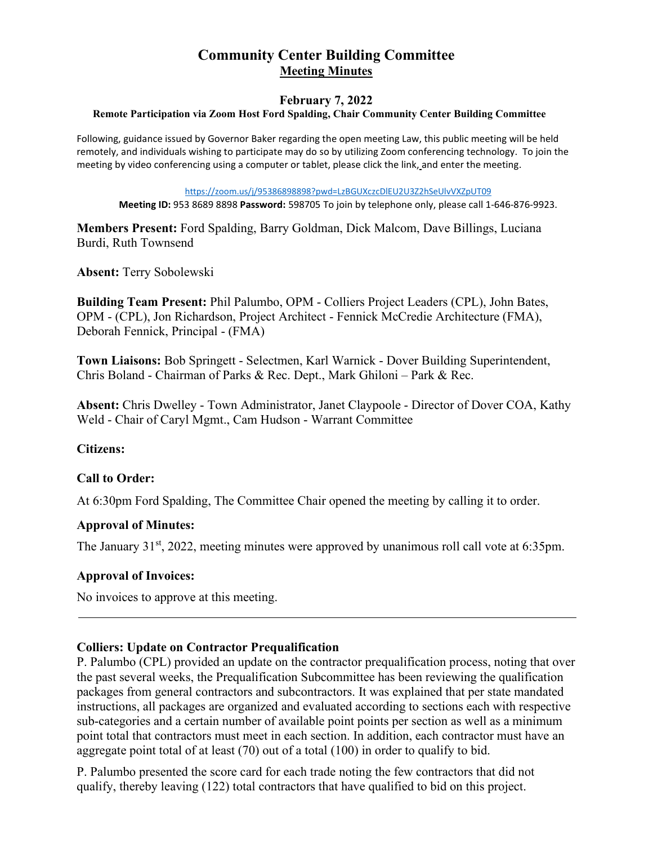# **Community Center Building Committee Meeting Minutes**

# **February 7, 2022 Remote Participation via Zoom Host Ford Spalding, Chair Community Center Building Committee**

Following, guidance issued by Governor Baker regarding the open meeting Law, this public meeting will be held remotely, and individuals wishing to participate may do so by utilizing Zoom conferencing technology. To join the meeting by video conferencing using a computer or tablet, please click the link, and enter the meeting.

[https://zoom.us/j/95386898898?pwd=LzBGUXczcDlEU2U3Z2hSeUlvVXZpUT09](https://protect-us.mimecast.com/s/NtNmCG6WPEfWZ3JNTpdfjc?domain=zoom.us)

**Meeting ID:** 953 8689 8898 **Password:** 598705 To join by telephone only, please call 1-646-876-9923.

**Members Present:** Ford Spalding, Barry Goldman, Dick Malcom, Dave Billings, Luciana Burdi, Ruth Townsend

**Absent:** Terry Sobolewski

**Building Team Present:** Phil Palumbo, OPM - Colliers Project Leaders (CPL), John Bates, OPM - (CPL), Jon Richardson, Project Architect - Fennick McCredie Architecture (FMA), Deborah Fennick, Principal - (FMA)

**Town Liaisons:** Bob Springett - Selectmen, Karl Warnick - Dover Building Superintendent, Chris Boland - Chairman of Parks & Rec. Dept., Mark Ghiloni – Park & Rec.

**Absent:** Chris Dwelley - Town Administrator, Janet Claypoole - Director of Dover COA, Kathy Weld - Chair of Caryl Mgmt., Cam Hudson - Warrant Committee

**Citizens:**

# **Call to Order:**

At 6:30pm Ford Spalding, The Committee Chair opened the meeting by calling it to order.

#### **Approval of Minutes:**

The January 31<sup>st</sup>, 2022, meeting minutes were approved by unanimous roll call vote at 6:35pm.

#### **Approval of Invoices:**

No invoices to approve at this meeting.

#### **Colliers: Update on Contractor Prequalification**

P. Palumbo (CPL) provided an update on the contractor prequalification process, noting that over the past several weeks, the Prequalification Subcommittee has been reviewing the qualification packages from general contractors and subcontractors. It was explained that per state mandated instructions, all packages are organized and evaluated according to sections each with respective sub-categories and a certain number of available point points per section as well as a minimum point total that contractors must meet in each section. In addition, each contractor must have an aggregate point total of at least (70) out of a total (100) in order to qualify to bid.

P. Palumbo presented the score card for each trade noting the few contractors that did not qualify, thereby leaving (122) total contractors that have qualified to bid on this project.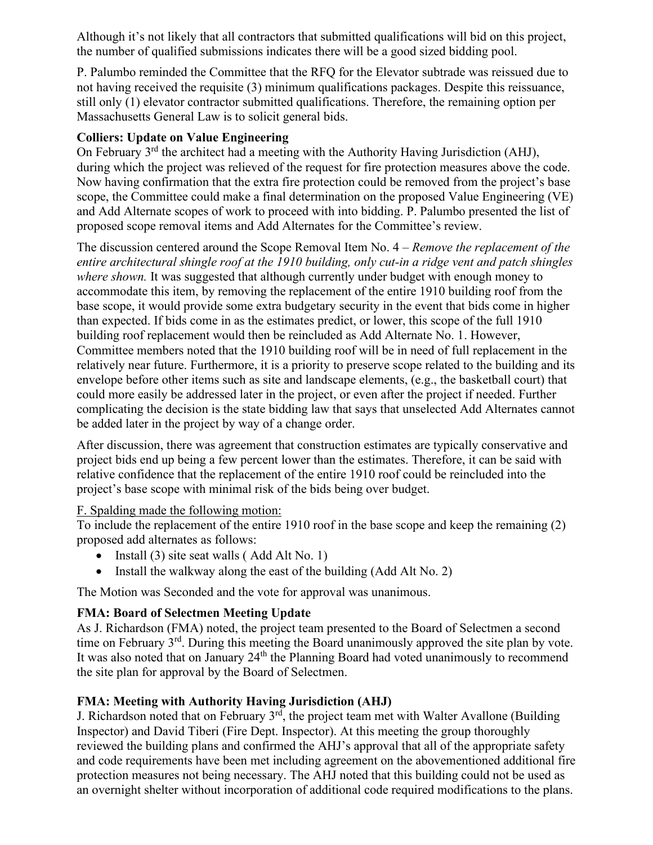Although it's not likely that all contractors that submitted qualifications will bid on this project, the number of qualified submissions indicates there will be a good sized bidding pool.

P. Palumbo reminded the Committee that the RFQ for the Elevator subtrade was reissued due to not having received the requisite (3) minimum qualifications packages. Despite this reissuance, still only (1) elevator contractor submitted qualifications. Therefore, the remaining option per Massachusetts General Law is to solicit general bids.

# **Colliers: Update on Value Engineering**

On February  $3<sup>rd</sup>$  the architect had a meeting with the Authority Having Jurisdiction (AHJ), during which the project was relieved of the request for fire protection measures above the code. Now having confirmation that the extra fire protection could be removed from the project's base scope, the Committee could make a final determination on the proposed Value Engineering (VE) and Add Alternate scopes of work to proceed with into bidding. P. Palumbo presented the list of proposed scope removal items and Add Alternates for the Committee's review.

The discussion centered around the Scope Removal Item No. 4 *– Remove the replacement of the entire architectural shingle roof at the 1910 building, only cut-in a ridge vent and patch shingles where shown.* It was suggested that although currently under budget with enough money to accommodate this item, by removing the replacement of the entire 1910 building roof from the base scope, it would provide some extra budgetary security in the event that bids come in higher than expected. If bids come in as the estimates predict, or lower, this scope of the full 1910 building roof replacement would then be reincluded as Add Alternate No. 1. However, Committee members noted that the 1910 building roof will be in need of full replacement in the relatively near future. Furthermore, it is a priority to preserve scope related to the building and its envelope before other items such as site and landscape elements, (e.g., the basketball court) that could more easily be addressed later in the project, or even after the project if needed. Further complicating the decision is the state bidding law that says that unselected Add Alternates cannot be added later in the project by way of a change order.

After discussion, there was agreement that construction estimates are typically conservative and project bids end up being a few percent lower than the estimates. Therefore, it can be said with relative confidence that the replacement of the entire 1910 roof could be reincluded into the project's base scope with minimal risk of the bids being over budget.

# F. Spalding made the following motion:

To include the replacement of the entire 1910 roof in the base scope and keep the remaining (2) proposed add alternates as follows:

- Install (3) site seat walls (Add Alt No. 1)
- Install the walkway along the east of the building (Add Alt No. 2)

The Motion was Seconded and the vote for approval was unanimous.

# **FMA: Board of Selectmen Meeting Update**

As J. Richardson (FMA) noted, the project team presented to the Board of Selectmen a second time on February 3<sup>rd</sup>. During this meeting the Board unanimously approved the site plan by vote. It was also noted that on January  $24<sup>th</sup>$  the Planning Board had voted unanimously to recommend the site plan for approval by the Board of Selectmen.

# **FMA: Meeting with Authority Having Jurisdiction (AHJ)**

J. Richardson noted that on February  $3<sup>rd</sup>$ , the project team met with Walter Avallone (Building Inspector) and David Tiberi (Fire Dept. Inspector). At this meeting the group thoroughly reviewed the building plans and confirmed the AHJ's approval that all of the appropriate safety and code requirements have been met including agreement on the abovementioned additional fire protection measures not being necessary. The AHJ noted that this building could not be used as an overnight shelter without incorporation of additional code required modifications to the plans.